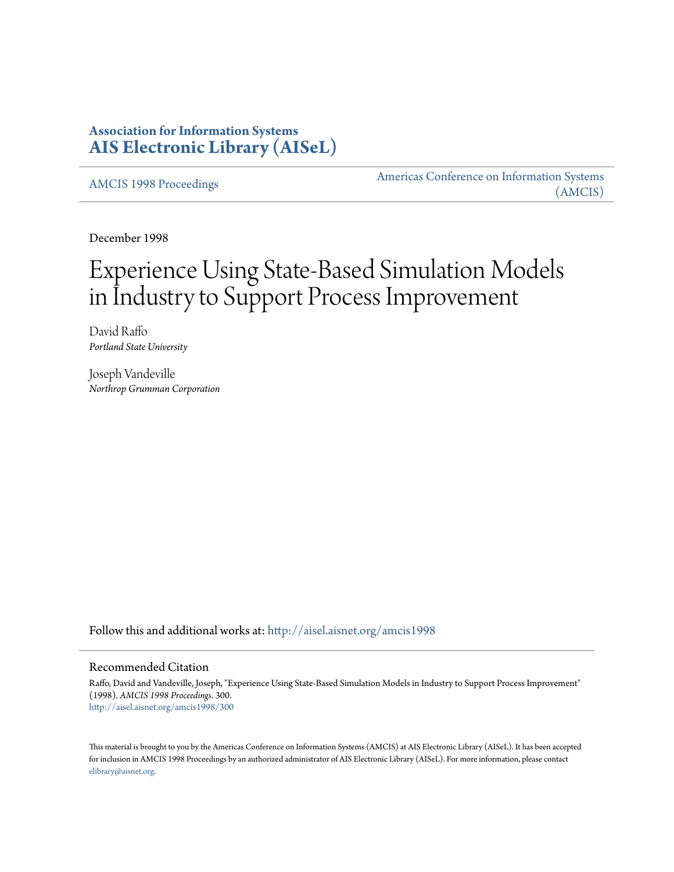# **Association for Information Systems [AIS Electronic Library \(AISeL\)](http://aisel.aisnet.org?utm_source=aisel.aisnet.org%2Famcis1998%2F300&utm_medium=PDF&utm_campaign=PDFCoverPages)**

[AMCIS 1998 Proceedings](http://aisel.aisnet.org/amcis1998?utm_source=aisel.aisnet.org%2Famcis1998%2F300&utm_medium=PDF&utm_campaign=PDFCoverPages)

[Americas Conference on Information Systems](http://aisel.aisnet.org/amcis?utm_source=aisel.aisnet.org%2Famcis1998%2F300&utm_medium=PDF&utm_campaign=PDFCoverPages) [\(AMCIS\)](http://aisel.aisnet.org/amcis?utm_source=aisel.aisnet.org%2Famcis1998%2F300&utm_medium=PDF&utm_campaign=PDFCoverPages)

December 1998

# Experience Using State-Based Simulation Models in Industry to Support Process Improvement

David Raffo *Portland State University*

Joseph Vandeville *Northrop Grumman Corporation*

Follow this and additional works at: [http://aisel.aisnet.org/amcis1998](http://aisel.aisnet.org/amcis1998?utm_source=aisel.aisnet.org%2Famcis1998%2F300&utm_medium=PDF&utm_campaign=PDFCoverPages)

#### Recommended Citation

Raffo, David and Vandeville, Joseph, "Experience Using State-Based Simulation Models in Industry to Support Process Improvement" (1998). *AMCIS 1998 Proceedings*. 300. [http://aisel.aisnet.org/amcis1998/300](http://aisel.aisnet.org/amcis1998/300?utm_source=aisel.aisnet.org%2Famcis1998%2F300&utm_medium=PDF&utm_campaign=PDFCoverPages)

This material is brought to you by the Americas Conference on Information Systems (AMCIS) at AIS Electronic Library (AISeL). It has been accepted for inclusion in AMCIS 1998 Proceedings by an authorized administrator of AIS Electronic Library (AISeL). For more information, please contact [elibrary@aisnet.org.](mailto:elibrary@aisnet.org%3E)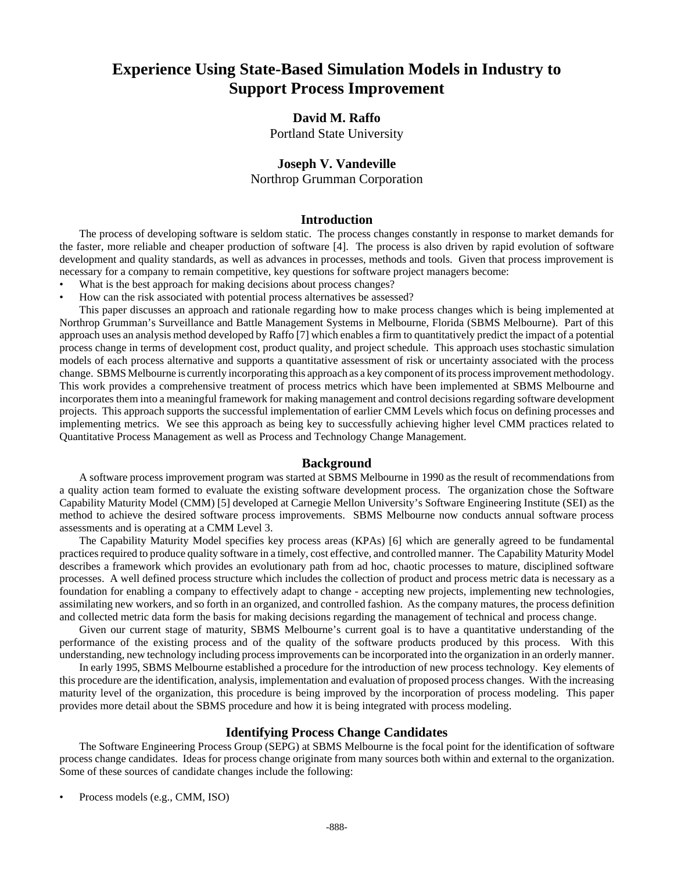# **Experience Using State-Based Simulation Models in Industry to Support Process Improvement**

# **David M. Raffo**

Portland State University

## **Joseph V. Vandeville**

Northrop Grumman Corporation

## **Introduction**

The process of developing software is seldom static. The process changes constantly in response to market demands for the faster, more reliable and cheaper production of software [4]. The process is also driven by rapid evolution of software development and quality standards, as well as advances in processes, methods and tools. Given that process improvement is necessary for a company to remain competitive, key questions for software project managers become:

- What is the best approach for making decisions about process changes?
- How can the risk associated with potential process alternatives be assessed?

This paper discusses an approach and rationale regarding how to make process changes which is being implemented at Northrop Grumman's Surveillance and Battle Management Systems in Melbourne, Florida (SBMS Melbourne). Part of this approach uses an analysis method developed by Raffo [7] which enables a firm to quantitatively predict the impact of a potential process change in terms of development cost, product quality, and project schedule. This approach uses stochastic simulation models of each process alternative and supports a quantitative assessment of risk or uncertainty associated with the process change. SBMS Melbourne is currently incorporating this approach as a key component of its process improvement methodology. This work provides a comprehensive treatment of process metrics which have been implemented at SBMS Melbourne and incorporates them into a meaningful framework for making management and control decisions regarding software development projects. This approach supports the successful implementation of earlier CMM Levels which focus on defining processes and implementing metrics. We see this approach as being key to successfully achieving higher level CMM practices related to Quantitative Process Management as well as Process and Technology Change Management.

#### **Background**

A software process improvement program was started at SBMS Melbourne in 1990 as the result of recommendations from a quality action team formed to evaluate the existing software development process. The organization chose the Software Capability Maturity Model (CMM) [5] developed at Carnegie Mellon University's Software Engineering Institute (SEI) as the method to achieve the desired software process improvements. SBMS Melbourne now conducts annual software process assessments and is operating at a CMM Level 3.

The Capability Maturity Model specifies key process areas (KPAs) [6] which are generally agreed to be fundamental practices required to produce quality software in a timely, cost effective, and controlled manner. The Capability Maturity Model describes a framework which provides an evolutionary path from ad hoc, chaotic processes to mature, disciplined software processes. A well defined process structure which includes the collection of product and process metric data is necessary as a foundation for enabling a company to effectively adapt to change - accepting new projects, implementing new technologies, assimilating new workers, and so forth in an organized, and controlled fashion. As the company matures, the process definition and collected metric data form the basis for making decisions regarding the management of technical and process change.

Given our current stage of maturity, SBMS Melbourne's current goal is to have a quantitative understanding of the performance of the existing process and of the quality of the software products produced by this process. With this understanding, new technology including process improvements can be incorporated into the organization in an orderly manner.

In early 1995, SBMS Melbourne established a procedure for the introduction of new process technology. Key elements of this procedure are the identification, analysis, implementation and evaluation of proposed process changes. With the increasing maturity level of the organization, this procedure is being improved by the incorporation of process modeling. This paper provides more detail about the SBMS procedure and how it is being integrated with process modeling.

#### **Identifying Process Change Candidates**

The Software Engineering Process Group (SEPG) at SBMS Melbourne is the focal point for the identification of software process change candidates. Ideas for process change originate from many sources both within and external to the organization. Some of these sources of candidate changes include the following:

• Process models (e.g., CMM, ISO)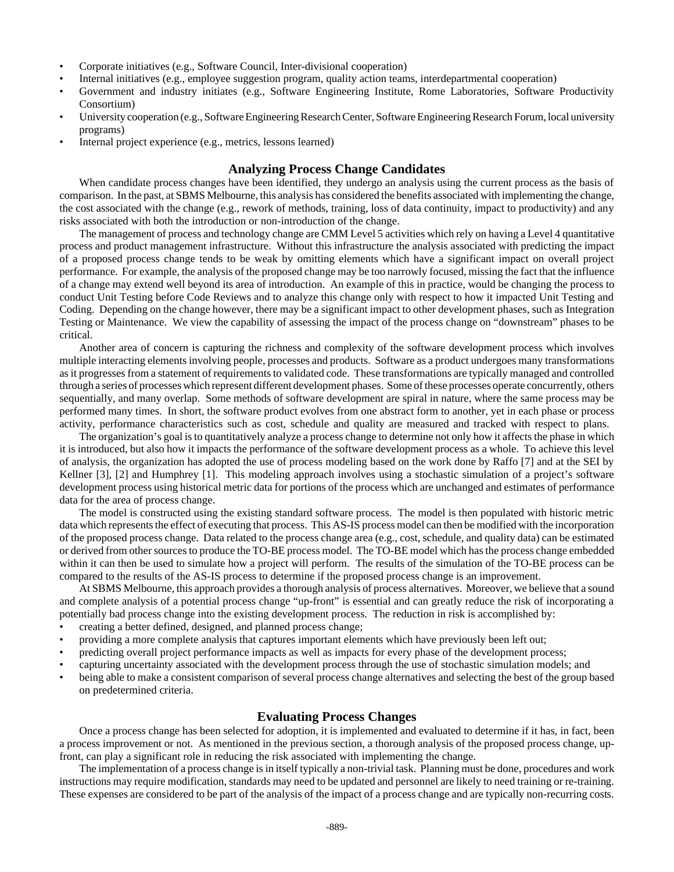- Corporate initiatives (e.g., Software Council, Inter-divisional cooperation)
- Internal initiatives (e.g., employee suggestion program, quality action teams, interdepartmental cooperation)
- Government and industry initiates (e.g., Software Engineering Institute, Rome Laboratories, Software Productivity Consortium)
- University cooperation (e.g., Software Engineering Research Center, Software Engineering Research Forum, local university programs)
- Internal project experience (e.g., metrics, lessons learned)

### **Analyzing Process Change Candidates**

When candidate process changes have been identified, they undergo an analysis using the current process as the basis of comparison. In the past, at SBMS Melbourne, this analysis has considered the benefits associated with implementing the change, the cost associated with the change (e.g., rework of methods, training, loss of data continuity, impact to productivity) and any risks associated with both the introduction or non-introduction of the change.

The management of process and technology change are CMM Level 5 activities which rely on having a Level 4 quantitative process and product management infrastructure. Without this infrastructure the analysis associated with predicting the impact of a proposed process change tends to be weak by omitting elements which have a significant impact on overall project performance. For example, the analysis of the proposed change may be too narrowly focused, missing the fact that the influence of a change may extend well beyond its area of introduction. An example of this in practice, would be changing the process to conduct Unit Testing before Code Reviews and to analyze this change only with respect to how it impacted Unit Testing and Coding. Depending on the change however, there may be a significant impact to other development phases, such as Integration Testing or Maintenance. We view the capability of assessing the impact of the process change on "downstream" phases to be critical.

Another area of concern is capturing the richness and complexity of the software development process which involves multiple interacting elements involving people, processes and products. Software as a product undergoes many transformations as it progresses from a statement of requirements to validated code. These transformations are typically managed and controlled through a series of processes which represent different development phases. Some of these processes operate concurrently, others sequentially, and many overlap. Some methods of software development are spiral in nature, where the same process may be performed many times. In short, the software product evolves from one abstract form to another, yet in each phase or process activity, performance characteristics such as cost, schedule and quality are measured and tracked with respect to plans.

The organization's goal is to quantitatively analyze a process change to determine not only how it affects the phase in which it is introduced, but also how it impacts the performance of the software development process as a whole. To achieve this level of analysis, the organization has adopted the use of process modeling based on the work done by Raffo [7] and at the SEI by Kellner [3], [2] and Humphrey [1]. This modeling approach involves using a stochastic simulation of a project's software development process using historical metric data for portions of the process which are unchanged and estimates of performance data for the area of process change.

The model is constructed using the existing standard software process. The model is then populated with historic metric data which represents the effect of executing that process. This AS-IS process model can then be modified with the incorporation of the proposed process change. Data related to the process change area (e.g., cost, schedule, and quality data) can be estimated or derived from other sources to produce the TO-BE process model. The TO-BE model which has the process change embedded within it can then be used to simulate how a project will perform. The results of the simulation of the TO-BE process can be compared to the results of the AS-IS process to determine if the proposed process change is an improvement.

At SBMS Melbourne, this approach provides a thorough analysis of process alternatives. Moreover, we believe that a sound and complete analysis of a potential process change "up-front" is essential and can greatly reduce the risk of incorporating a potentially bad process change into the existing development process. The reduction in risk is accomplished by:

- creating a better defined, designed, and planned process change;
- providing a more complete analysis that captures important elements which have previously been left out;
- predicting overall project performance impacts as well as impacts for every phase of the development process;
- capturing uncertainty associated with the development process through the use of stochastic simulation models; and
- being able to make a consistent comparison of several process change alternatives and selecting the best of the group based on predetermined criteria.

#### **Evaluating Process Changes**

Once a process change has been selected for adoption, it is implemented and evaluated to determine if it has, in fact, been a process improvement or not. As mentioned in the previous section, a thorough analysis of the proposed process change, upfront, can play a significant role in reducing the risk associated with implementing the change.

The implementation of a process change is in itself typically a non-trivial task. Planning must be done, procedures and work instructions may require modification, standards may need to be updated and personnel are likely to need training or re-training. These expenses are considered to be part of the analysis of the impact of a process change and are typically non-recurring costs.